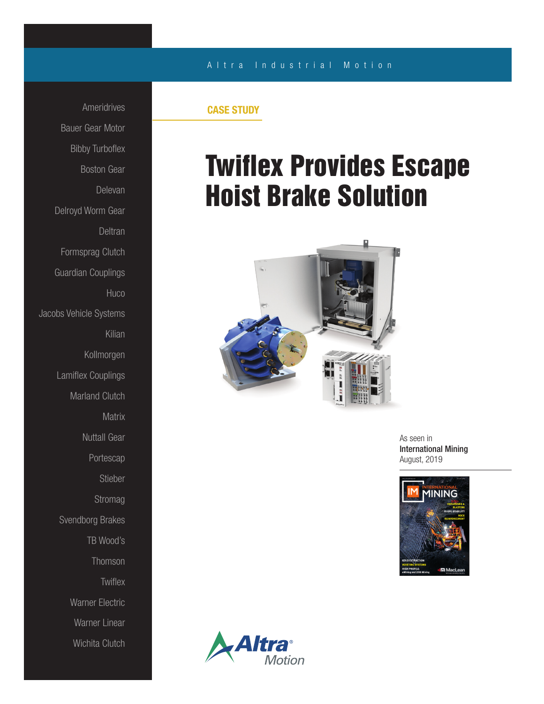## A l t r a Industrial Motion

Ameridrives Bauer Gear Motor Bibby Turboflex Boston Gear Delevan Delroyd Worm Gear Deltran Formsprag Clutch Guardian Couplings **Huco** Jacobs Vehicle Systems Kilian Kollmorgen Lamiflex Couplings Marland Clutch **Matrix** Nuttall Gear Portescap Stieber Stromag Svendborg Brakes TB Wood's Thomson **Twiflex** Warner Electric Warner Linear Wichita Clutch

## CASE STUDY

## Twiflex Provides Escape Hoist Brake Solution



As seen in International Mining August, 2019